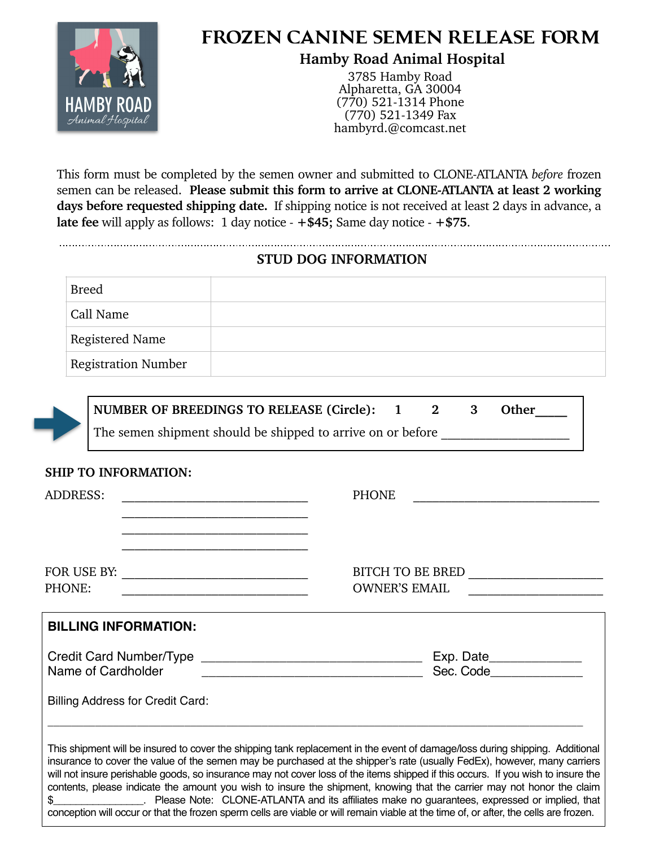

# **FROZEN CANINE SEMEN RELEASE FORM**

# **Hamby Road Animal Hospital**

3785 Hamby Road Alpharetta, GA 30004 (770) 521-1314 Phone (770) 521-1349 Fax hambyrd.@[comcast.net](http://comcast.net)

This form must be completed by the semen owner and submitted to CLONE-ATLANTA *before* frozen semen can be released. **Please submit this form to arrive at CLONE-ATLANTA at least 2 working days before requested shipping date.** If shipping notice is not received at least 2 days in advance, a **late fee** will apply as follows: 1 day notice - **+\$45;** Same day notice - **+\$75**.

## **STUD DOG INFORMATION**

| <b>Breed</b>               |  |
|----------------------------|--|
| Call Name                  |  |
| <b>Registered Name</b>     |  |
| <b>Registration Number</b> |  |



NUMBER OF BREEDINGS TO RELEASE (Circle): 1 2 3 Other The semen shipment should be shipped to arrive on or before

#### **SHIP TO INFORMATION:**

| ADDRESS:                                | <b>PHONE</b>                                                                                                                                                                                                                                                                                                                                                                                                                                                                                                                                                                                                                                                 |  |  |
|-----------------------------------------|--------------------------------------------------------------------------------------------------------------------------------------------------------------------------------------------------------------------------------------------------------------------------------------------------------------------------------------------------------------------------------------------------------------------------------------------------------------------------------------------------------------------------------------------------------------------------------------------------------------------------------------------------------------|--|--|
|                                         | BITCH TO BE BRED ____________________                                                                                                                                                                                                                                                                                                                                                                                                                                                                                                                                                                                                                        |  |  |
| PHONE:                                  | <b>OWNER'S EMAIL</b>                                                                                                                                                                                                                                                                                                                                                                                                                                                                                                                                                                                                                                         |  |  |
| <b>BILLING INFORMATION:</b>             |                                                                                                                                                                                                                                                                                                                                                                                                                                                                                                                                                                                                                                                              |  |  |
| Name of Cardholder                      | Exp. Date_______________<br>Sec. Code____________<br><u> 2000 - 2000 - 2000 - 2000 - 2000 - 2000 - 2000 - 2000 - 2000 - 2000 - 2000 - 2000 - 2000 - 2000 - 2000 - 200</u>                                                                                                                                                                                                                                                                                                                                                                                                                                                                                    |  |  |
| <b>Billing Address for Credit Card:</b> |                                                                                                                                                                                                                                                                                                                                                                                                                                                                                                                                                                                                                                                              |  |  |
|                                         | This shipment will be insured to cover the shipping tank replacement in the event of damage/loss during shipping. Additional<br>insurance to cover the value of the semen may be purchased at the shipper's rate (usually FedEx), however, many carriers<br>will not insure perishable goods, so insurance may not cover loss of the items shipped if this occurs. If you wish to insure the<br>contents, please indicate the amount you wish to insure the shipment, knowing that the carrier may not honor the claim<br>conception will occur or that the frozen sperm cells are viable or will remain viable at the time of or after the cells are frozen |  |  |

conception will occur or that the frozen sperm cells are viable or will remain viable at the time of, or after, the cells are frozen.